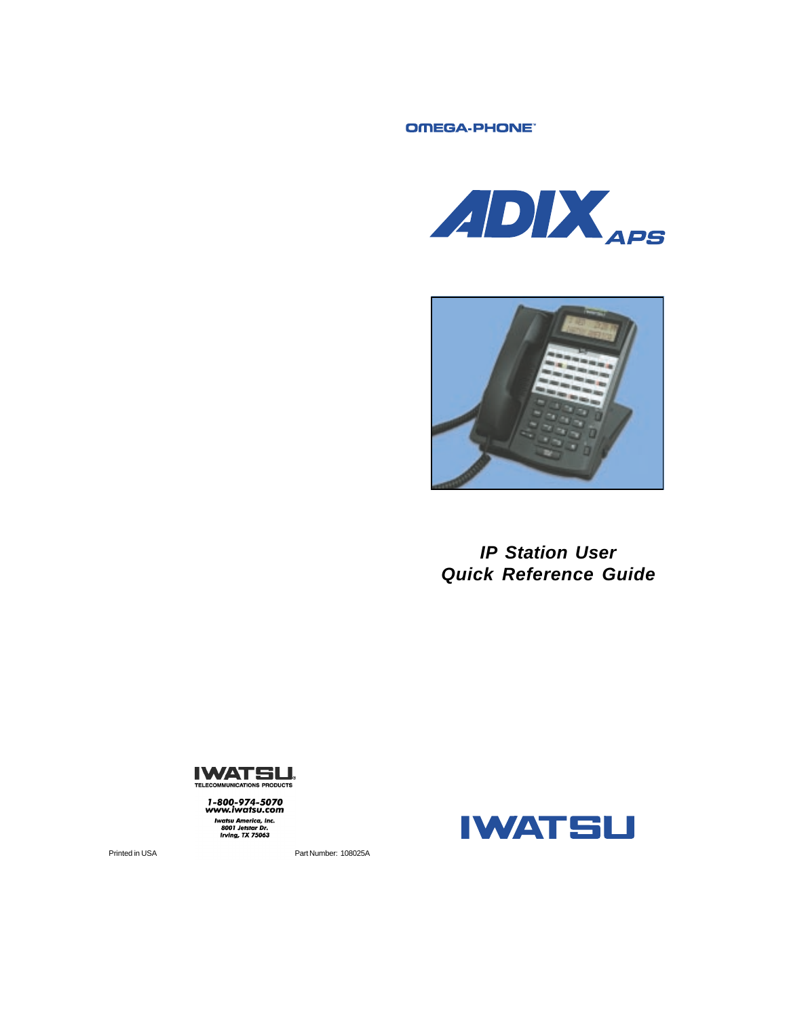OMEGA-PHONE"





*IP Station User Quick Reference Guide*



1-800-974-5070<br>www.iwatsu.com **Example 2018**<br>Iwatsu America, Inc.<br>8001 Jetstar Dr.<br>Irving, TX 75063



Printed in USA **Part Number: 108025A**